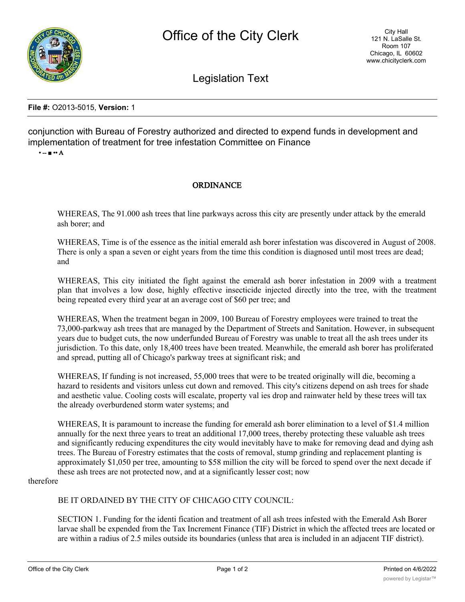

Legislation Text

## **File #:** O2013-5015, **Version:** 1

conjunction with Bureau of Forestry authorized and directed to expend funds in development and implementation of treatment for tree infestation Committee on Finance

• -- ■ •• A

## **ORDINANCE**

WHEREAS, The 91.000 ash trees that line parkways across this city are presently under attack by the emerald ash borer; and

WHEREAS, Time is of the essence as the initial emerald ash borer infestation was discovered in August of 2008. There is only a span a seven or eight years from the time this condition is diagnosed until most trees are dead; and

WHEREAS, This city initiated the fight against the emerald ash borer infestation in 2009 with a treatment plan that involves a low dose, highly effective insecticide injected directly into the tree, with the treatment being repeated every third year at an average cost of \$60 per tree; and

WHEREAS, When the treatment began in 2009, 100 Bureau of Forestry employees were trained to treat the 73,000-parkway ash trees that are managed by the Department of Streets and Sanitation. However, in subsequent years due to budget cuts, the now underfunded Bureau of Forestry was unable to treat all the ash trees under its jurisdiction. To this date, only 18,400 trees have been treated. Meanwhile, the emerald ash borer has proliferated and spread, putting all of Chicago's parkway trees at significant risk; and

WHEREAS, If funding is not increased, 55,000 trees that were to be treated originally will die, becoming a hazard to residents and visitors unless cut down and removed. This city's citizens depend on ash trees for shade and aesthetic value. Cooling costs will escalate, property val ies drop and rainwater held by these trees will tax the already overburdened storm water systems; and

WHEREAS, It is paramount to increase the funding for emerald ash borer elimination to a level of \$1.4 million annually for the next three years to treat an additional 17,000 trees, thereby protecting these valuable ash trees and significantly reducing expenditures the city would inevitably have to make for removing dead and dying ash trees. The Bureau of Forestry estimates that the costs of removal, stump grinding and replacement planting is approximately \$1,050 per tree, amounting to \$58 million the city will be forced to spend over the next decade if these ash trees are not protected now, and at a significantly lesser cost; now

therefore

BE IT ORDAINED BY THE CITY OF CHICAGO CITY COUNCIL:

SECTION 1. Funding for the identi fication and treatment of all ash trees infested with the Emerald Ash Borer larvae shall be expended from the Tax Increment Finance (TIF) District in which the affected trees are located or are within a radius of 2.5 miles outside its boundaries (unless that area is included in an adjacent TIF district).